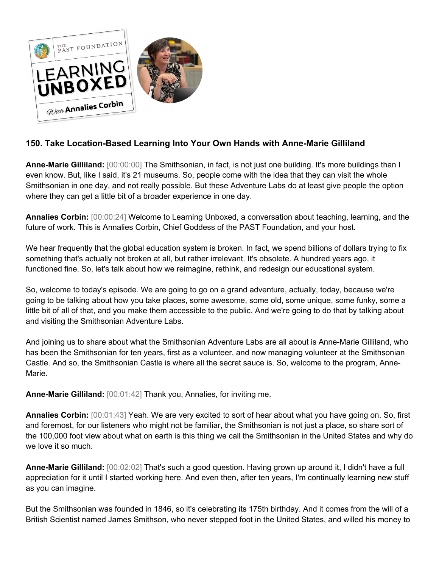

## **150. Take Location-Based Learning Into Your Own Hands with Anne-Marie Gilliland**

**Anne-Marie Gilliland:** [00:00:00] The Smithsonian, in fact, is not just one building. It's more buildings than I even know. But, like I said, it's 21 museums. So, people come with the idea that they can visit the whole Smithsonian in one day, and not really possible. But these Adventure Labs do at least give people the option where they can get a little bit of a broader experience in one day.

**Annalies Corbin:** [00:00:24] Welcome to Learning Unboxed, a conversation about teaching, learning, and the future of work. This is Annalies Corbin, Chief Goddess of the PAST Foundation, and your host.

We hear frequently that the global education system is broken. In fact, we spend billions of dollars trying to fix something that's actually not broken at all, but rather irrelevant. It's obsolete. A hundred years ago, it functioned fine. So, let's talk about how we reimagine, rethink, and redesign our educational system.

So, welcome to today's episode. We are going to go on a grand adventure, actually, today, because we're going to be talking about how you take places, some awesome, some old, some unique, some funky, some a little bit of all of that, and you make them accessible to the public. And we're going to do that by talking about and visiting the Smithsonian Adventure Labs.

And joining us to share about what the Smithsonian Adventure Labs are all about is Anne-Marie Gilliland, who has been the Smithsonian for ten years, first as a volunteer, and now managing volunteer at the Smithsonian Castle. And so, the Smithsonian Castle is where all the secret sauce is. So, welcome to the program, Anne-Marie.

**Anne-Marie Gilliland:** [00:01:42] Thank you, Annalies, for inviting me.

**Annalies Corbin:** [00:01:43] Yeah. We are very excited to sort of hear about what you have going on. So, first and foremost, for our listeners who might not be familiar, the Smithsonian is not just a place, so share sort of the 100,000 foot view about what on earth is this thing we call the Smithsonian in the United States and why do we love it so much.

**Anne-Marie Gilliland:** [00:02:02] That's such a good question. Having grown up around it, I didn't have a full appreciation for it until I started working here. And even then, after ten years, I'm continually learning new stuff as you can imagine.

But the Smithsonian was founded in 1846, so it's celebrating its 175th birthday. And it comes from the will of a British Scientist named James Smithson, who never stepped foot in the United States, and willed his money to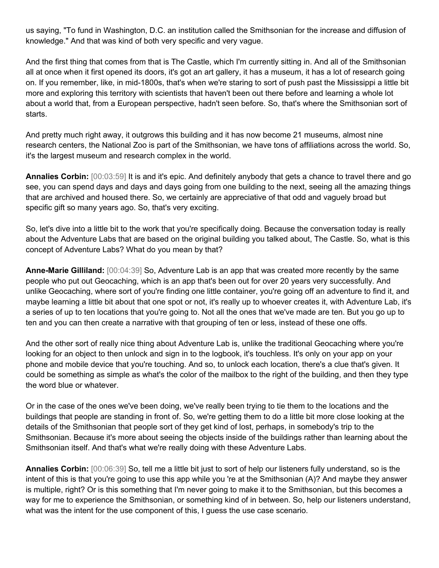us saying, "To fund in Washington, D.C. an institution called the Smithsonian for the increase and diffusion of knowledge." And that was kind of both very specific and very vague.

And the first thing that comes from that is The Castle, which I'm currently sitting in. And all of the Smithsonian all at once when it first opened its doors, it's got an art gallery, it has a museum, it has a lot of research going on. If you remember, like, in mid-1800s, that's when we're staring to sort of push past the Mississippi a little bit more and exploring this territory with scientists that haven't been out there before and learning a whole lot about a world that, from a European perspective, hadn't seen before. So, that's where the Smithsonian sort of starts.

And pretty much right away, it outgrows this building and it has now become 21 museums, almost nine research centers, the National Zoo is part of the Smithsonian, we have tons of affiliations across the world. So, it's the largest museum and research complex in the world.

**Annalies Corbin:** [00:03:59] It is and it's epic. And definitely anybody that gets a chance to travel there and go see, you can spend days and days and days going from one building to the next, seeing all the amazing things that are archived and housed there. So, we certainly are appreciative of that odd and vaguely broad but specific gift so many years ago. So, that's very exciting.

So, let's dive into a little bit to the work that you're specifically doing. Because the conversation today is really about the Adventure Labs that are based on the original building you talked about, The Castle. So, what is this concept of Adventure Labs? What do you mean by that?

**Anne-Marie Gilliland:** [00:04:39] So, Adventure Lab is an app that was created more recently by the same people who put out Geocaching, which is an app that's been out for over 20 years very successfully. And unlike Geocaching, where sort of you're finding one little container, you're going off an adventure to find it, and maybe learning a little bit about that one spot or not, it's really up to whoever creates it, with Adventure Lab, it's a series of up to ten locations that you're going to. Not all the ones that we've made are ten. But you go up to ten and you can then create a narrative with that grouping of ten or less, instead of these one offs.

And the other sort of really nice thing about Adventure Lab is, unlike the traditional Geocaching where you're looking for an object to then unlock and sign in to the logbook, it's touchless. It's only on your app on your phone and mobile device that you're touching. And so, to unlock each location, there's a clue that's given. It could be something as simple as what's the color of the mailbox to the right of the building, and then they type the word blue or whatever.

Or in the case of the ones we've been doing, we've really been trying to tie them to the locations and the buildings that people are standing in front of. So, we're getting them to do a little bit more close looking at the details of the Smithsonian that people sort of they get kind of lost, perhaps, in somebody's trip to the Smithsonian. Because it's more about seeing the objects inside of the buildings rather than learning about the Smithsonian itself. And that's what we're really doing with these Adventure Labs.

**Annalies Corbin:** [00:06:39] So, tell me a little bit just to sort of help our listeners fully understand, so is the intent of this is that you're going to use this app while you 're at the Smithsonian (A)? And maybe they answer is multiple, right? Or is this something that I'm never going to make it to the Smithsonian, but this becomes a way for me to experience the Smithsonian, or something kind of in between. So, help our listeners understand, what was the intent for the use component of this, I guess the use case scenario.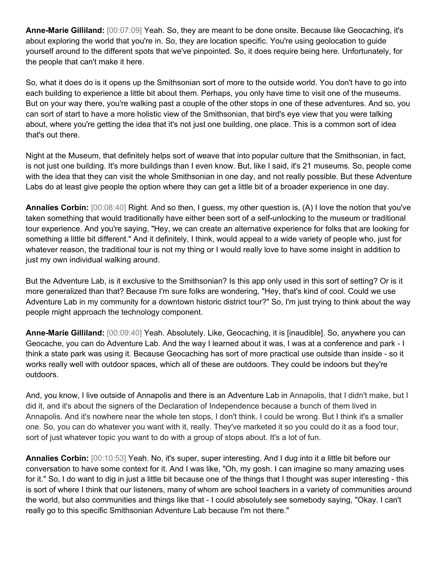**Anne-Marie Gilliland:** [00:07:09] Yeah. So, they are meant to be done onsite. Because like Geocaching, it's about exploring the world that you're in. So, they are location specific. You're using geolocation to guide yourself around to the different spots that we've pinpointed. So, it does require being here. Unfortunately, for the people that can't make it here.

So, what it does do is it opens up the Smithsonian sort of more to the outside world. You don't have to go into each building to experience a little bit about them. Perhaps, you only have time to visit one of the museums. But on your way there, you're walking past a couple of the other stops in one of these adventures. And so, you can sort of start to have a more holistic view of the Smithsonian, that bird's eye view that you were talking about, where you're getting the idea that it's not just one building, one place. This is a common sort of idea that's out there.

Night at the Museum, that definitely helps sort of weave that into popular culture that the Smithsonian, in fact, is not just one building. It's more buildings than I even know. But, like I said, it's 21 museums. So, people come with the idea that they can visit the whole Smithsonian in one day, and not really possible. But these Adventure Labs do at least give people the option where they can get a little bit of a broader experience in one day.

**Annalies Corbin:** [00:08:40] Right. And so then, I guess, my other question is, (A) I love the notion that you've taken something that would traditionally have either been sort of a self-unlocking to the museum or traditional tour experience. And you're saying, "Hey, we can create an alternative experience for folks that are looking for something a little bit different." And it definitely, I think, would appeal to a wide variety of people who, just for whatever reason, the traditional tour is not my thing or I would really love to have some insight in addition to just my own individual walking around.

But the Adventure Lab, is it exclusive to the Smithsonian? Is this app only used in this sort of setting? Or is it more generalized than that? Because I'm sure folks are wondering, "Hey, that's kind of cool. Could we use Adventure Lab in my community for a downtown historic district tour?" So, I'm just trying to think about the way people might approach the technology component.

**Anne-Marie Gilliland:** [00:09:40] Yeah. Absolutely. Like, Geocaching, it is [inaudible]. So, anywhere you can Geocache, you can do Adventure Lab. And the way I learned about it was, I was at a conference and park - I think a state park was using it. Because Geocaching has sort of more practical use outside than inside - so it works really well with outdoor spaces, which all of these are outdoors. They could be indoors but they're outdoors.

And, you know, I live outside of Annapolis and there is an Adventure Lab in Annapolis, that I didn't make, but I did it, and it's about the signers of the Declaration of Independence because a bunch of them lived in Annapolis. And it's nowhere near the whole ten stops, I don't think. I could be wrong. But I think it's a smaller one. So, you can do whatever you want with it, really. They've marketed it so you could do it as a food tour, sort of just whatever topic you want to do with a group of stops about. It's a lot of fun.

**Annalies Corbin:** [00:10:53] Yeah. No, it's super, super interesting. And I dug into it a little bit before our conversation to have some context for it. And I was like, "Oh, my gosh. I can imagine so many amazing uses for it." So, I do want to dig in just a little bit because one of the things that I thought was super interesting - this is sort of where I think that our listeners, many of whom are school teachers in a variety of communities around the world, but also communities and things like that - I could absolutely see somebody saying, "Okay. I can't really go to this specific Smithsonian Adventure Lab because I'm not there."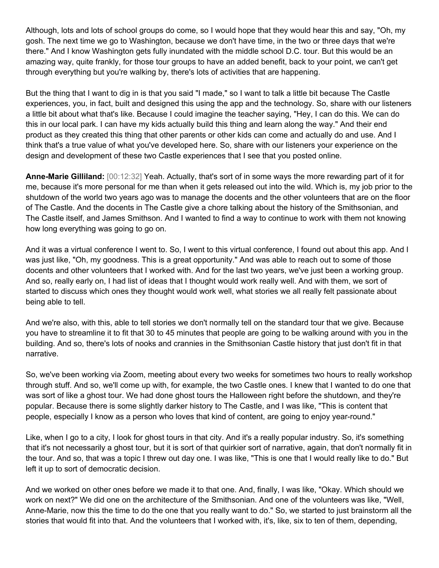Although, lots and lots of school groups do come, so I would hope that they would hear this and say, "Oh, my gosh. The next time we go to Washington, because we don't have time, in the two or three days that we're there." And I know Washington gets fully inundated with the middle school D.C. tour. But this would be an amazing way, quite frankly, for those tour groups to have an added benefit, back to your point, we can't get through everything but you're walking by, there's lots of activities that are happening.

But the thing that I want to dig in is that you said "I made," so I want to talk a little bit because The Castle experiences, you, in fact, built and designed this using the app and the technology. So, share with our listeners a little bit about what that's like. Because I could imagine the teacher saying, "Hey, I can do this. We can do this in our local park. I can have my kids actually build this thing and learn along the way." And their end product as they created this thing that other parents or other kids can come and actually do and use. And I think that's a true value of what you've developed here. So, share with our listeners your experience on the design and development of these two Castle experiences that I see that you posted online.

**Anne-Marie Gilliland:** [00:12:32] Yeah. Actually, that's sort of in some ways the more rewarding part of it for me, because it's more personal for me than when it gets released out into the wild. Which is, my job prior to the shutdown of the world two years ago was to manage the docents and the other volunteers that are on the floor of The Castle. And the docents in The Castle give a chore talking about the history of the Smithsonian, and The Castle itself, and James Smithson. And I wanted to find a way to continue to work with them not knowing how long everything was going to go on.

And it was a virtual conference I went to. So, I went to this virtual conference, I found out about this app. And I was just like, "Oh, my goodness. This is a great opportunity." And was able to reach out to some of those docents and other volunteers that I worked with. And for the last two years, we've just been a working group. And so, really early on, I had list of ideas that I thought would work really well. And with them, we sort of started to discuss which ones they thought would work well, what stories we all really felt passionate about being able to tell.

And we're also, with this, able to tell stories we don't normally tell on the standard tour that we give. Because you have to streamline it to fit that 30 to 45 minutes that people are going to be walking around with you in the building. And so, there's lots of nooks and crannies in the Smithsonian Castle history that just don't fit in that narrative.

So, we've been working via Zoom, meeting about every two weeks for sometimes two hours to really workshop through stuff. And so, we'll come up with, for example, the two Castle ones. I knew that I wanted to do one that was sort of like a ghost tour. We had done ghost tours the Halloween right before the shutdown, and they're popular. Because there is some slightly darker history to The Castle, and I was like, "This is content that people, especially I know as a person who loves that kind of content, are going to enjoy year-round."

Like, when I go to a city, I look for ghost tours in that city. And it's a really popular industry. So, it's something that it's not necessarily a ghost tour, but it is sort of that quirkier sort of narrative, again, that don't normally fit in the tour. And so, that was a topic I threw out day one. I was like, "This is one that I would really like to do." But left it up to sort of democratic decision.

And we worked on other ones before we made it to that one. And, finally, I was like, "Okay. Which should we work on next?" We did one on the architecture of the Smithsonian. And one of the volunteers was like, "Well, Anne-Marie, now this the time to do the one that you really want to do." So, we started to just brainstorm all the stories that would fit into that. And the volunteers that I worked with, it's, like, six to ten of them, depending,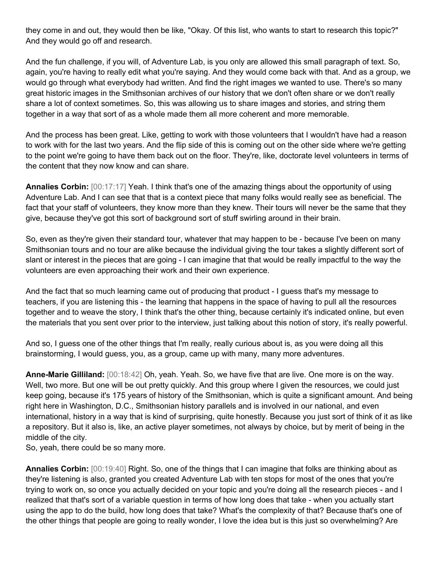they come in and out, they would then be like, "Okay. Of this list, who wants to start to research this topic?" And they would go off and research.

And the fun challenge, if you will, of Adventure Lab, is you only are allowed this small paragraph of text. So, again, you're having to really edit what you're saying. And they would come back with that. And as a group, we would go through what everybody had written. And find the right images we wanted to use. There's so many great historic images in the Smithsonian archives of our history that we don't often share or we don't really share a lot of context sometimes. So, this was allowing us to share images and stories, and string them together in a way that sort of as a whole made them all more coherent and more memorable.

And the process has been great. Like, getting to work with those volunteers that I wouldn't have had a reason to work with for the last two years. And the flip side of this is coming out on the other side where we're getting to the point we're going to have them back out on the floor. They're, like, doctorate level volunteers in terms of the content that they now know and can share.

**Annalies Corbin:** [00:17:17] Yeah. I think that's one of the amazing things about the opportunity of using Adventure Lab. And I can see that that is a context piece that many folks would really see as beneficial. The fact that your staff of volunteers, they know more than they knew. Their tours will never be the same that they give, because they've got this sort of background sort of stuff swirling around in their brain.

So, even as they're given their standard tour, whatever that may happen to be - because I've been on many Smithsonian tours and no tour are alike because the individual giving the tour takes a slightly different sort of slant or interest in the pieces that are going - I can imagine that that would be really impactful to the way the volunteers are even approaching their work and their own experience.

And the fact that so much learning came out of producing that product - I guess that's my message to teachers, if you are listening this - the learning that happens in the space of having to pull all the resources together and to weave the story, I think that's the other thing, because certainly it's indicated online, but even the materials that you sent over prior to the interview, just talking about this notion of story, it's really powerful.

And so, I guess one of the other things that I'm really, really curious about is, as you were doing all this brainstorming, I would guess, you, as a group, came up with many, many more adventures.

**Anne-Marie Gilliland:** [00:18:42] Oh, yeah. Yeah. So, we have five that are live. One more is on the way. Well, two more. But one will be out pretty quickly. And this group where I given the resources, we could just keep going, because it's 175 years of history of the Smithsonian, which is quite a significant amount. And being right here in Washington, D.C., Smithsonian history parallels and is involved in our national, and even international, history in a way that is kind of surprising, quite honestly. Because you just sort of think of it as like a repository. But it also is, like, an active player sometimes, not always by choice, but by merit of being in the middle of the city.

So, yeah, there could be so many more.

**Annalies Corbin:** [00:19:40] Right. So, one of the things that I can imagine that folks are thinking about as they're listening is also, granted you created Adventure Lab with ten stops for most of the ones that you're trying to work on, so once you actually decided on your topic and you're doing all the research pieces - and I realized that that's sort of a variable question in terms of how long does that take - when you actually start using the app to do the build, how long does that take? What's the complexity of that? Because that's one of the other things that people are going to really wonder, I love the idea but is this just so overwhelming? Are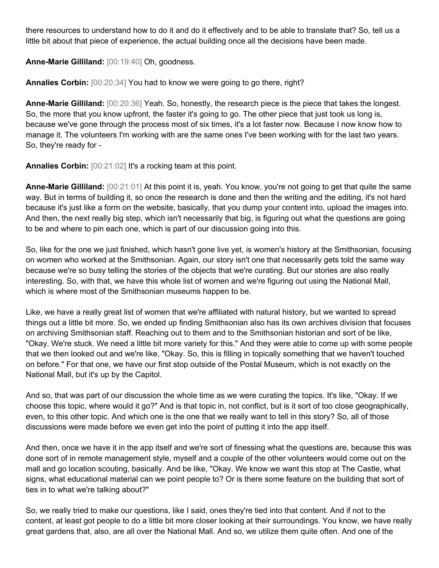there resources to understand how to do it and do it effectively and to be able to translate that? So, tell us a little bit about that piece of experience, the actual building once all the decisions have been made.

**Anne-Marie Gilliland:** [00:19:40] Oh, goodness.

**Annalies Corbin:** [00:20:34] You had to know we were going to go there, right?

**Anne-Marie Gilliland:** [00:20:36] Yeah. So, honestly, the research piece is the piece that takes the longest. So, the more that you know upfront, the faster it's going to go. The other piece that just took us long is, because we've gone through the process most of six times, it's a lot faster now. Because I now know how to manage it. The volunteers I'm working with are the same ones I've been working with for the last two years. So, they're ready for -

**Annalies Corbin:** [00:21:02] It's a rocking team at this point.

**Anne-Marie Gilliland:** [00:21:01] At this point it is, yeah. You know, you're not going to get that quite the same way. But in terms of building it, so once the research is done and then the writing and the editing, it's not hard because it's just like a form on the website, basically, that you dump your content into, upload the images into. And then, the next really big step, which isn't necessarily that big, is figuring out what the questions are going to be and where to pin each one, which is part of our discussion going into this.

So, like for the one we just finished, which hasn't gone live yet, is women's history at the Smithsonian, focusing on women who worked at the Smithsonian. Again, our story isn't one that necessarily gets told the same way because we're so busy telling the stories of the objects that we're curating. But our stories are also really interesting. So, with that, we have this whole list of women and we're figuring out using the National Mall, which is where most of the Smithsonian museums happen to be.

Like, we have a really great list of women that we're affiliated with natural history, but we wanted to spread things out a little bit more. So, we ended up finding Smithsonian also has its own archives division that focuses on archiving Smithsonian staff. Reaching out to them and to the Smithsonian historian and sort of be like, "Okay. We're stuck. We need a little bit more variety for this." And they were able to come up with some people that we then looked out and we're like, "Okay. So, this is filling in topically something that we haven't touched on before." For that one, we have our first stop outside of the Postal Museum, which is not exactly on the National Mall, but it's up by the Capitol.

And so, that was part of our discussion the whole time as we were curating the topics. It's like, "Okay. If we choose this topic, where would it go?" And is that topic in, not conflict, but is it sort of too close geographically, even, to this other topic. And which one is the one that we really want to tell in this story? So, all of those discussions were made before we even get into the point of putting it into the app itself.

And then, once we have it in the app itself and we're sort of finessing what the questions are, because this was done sort of in remote management style, myself and a couple of the other volunteers would come out on the mall and go location scouting, basically. And be like, "Okay. We know we want this stop at The Castle, what signs, what educational material can we point people to? Or is there some feature on the building that sort of ties in to what we're talking about?"

So, we really tried to make our questions, like I said, ones they're tied into that content. And if not to the content, at least got people to do a little bit more closer looking at their surroundings. You know, we have really great gardens that, also, are all over the National Mall. And so, we utilize them quite often. And one of the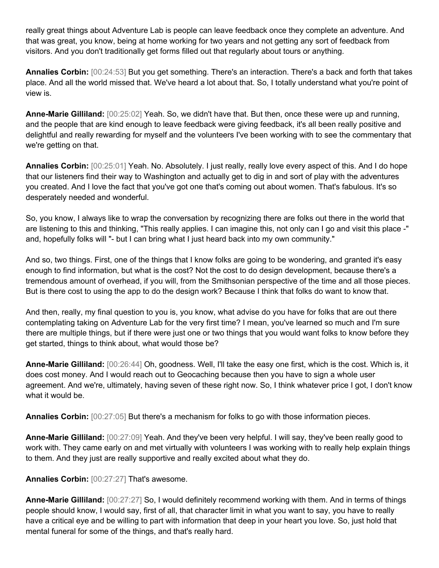really great things about Adventure Lab is people can leave feedback once they complete an adventure. And that was great, you know, being at home working for two years and not getting any sort of feedback from visitors. And you don't traditionally get forms filled out that regularly about tours or anything.

**Annalies Corbin:** [00:24:53] But you get something. There's an interaction. There's a back and forth that takes place. And all the world missed that. We've heard a lot about that. So, I totally understand what you're point of view is.

**Anne-Marie Gilliland:** [00:25:02] Yeah. So, we didn't have that. But then, once these were up and running, and the people that are kind enough to leave feedback were giving feedback, it's all been really positive and delightful and really rewarding for myself and the volunteers I've been working with to see the commentary that we're getting on that.

**Annalies Corbin:** [00:25:01] Yeah. No. Absolutely. I just really, really love every aspect of this. And I do hope that our listeners find their way to Washington and actually get to dig in and sort of play with the adventures you created. And I love the fact that you've got one that's coming out about women. That's fabulous. It's so desperately needed and wonderful.

So, you know, I always like to wrap the conversation by recognizing there are folks out there in the world that are listening to this and thinking, "This really applies. I can imagine this, not only can I go and visit this place -" and, hopefully folks will "- but I can bring what I just heard back into my own community."

And so, two things. First, one of the things that I know folks are going to be wondering, and granted it's easy enough to find information, but what is the cost? Not the cost to do design development, because there's a tremendous amount of overhead, if you will, from the Smithsonian perspective of the time and all those pieces. But is there cost to using the app to do the design work? Because I think that folks do want to know that.

And then, really, my final question to you is, you know, what advise do you have for folks that are out there contemplating taking on Adventure Lab for the very first time? I mean, you've learned so much and I'm sure there are multiple things, but if there were just one or two things that you would want folks to know before they get started, things to think about, what would those be?

**Anne-Marie Gilliland:** [00:26:44] Oh, goodness. Well, I'll take the easy one first, which is the cost. Which is, it does cost money. And I would reach out to Geocaching because then you have to sign a whole user agreement. And we're, ultimately, having seven of these right now. So, I think whatever price I got, I don't know what it would be.

**Annalies Corbin:** [00:27:05] But there's a mechanism for folks to go with those information pieces.

**Anne-Marie Gilliland:** [00:27:09] Yeah. And they've been very helpful. I will say, they've been really good to work with. They came early on and met virtually with volunteers I was working with to really help explain things to them. And they just are really supportive and really excited about what they do.

## **Annalies Corbin:** [00:27:27] That's awesome.

**Anne-Marie Gilliland:** [00:27:27] So, I would definitely recommend working with them. And in terms of things people should know, I would say, first of all, that character limit in what you want to say, you have to really have a critical eye and be willing to part with information that deep in your heart you love. So, just hold that mental funeral for some of the things, and that's really hard.